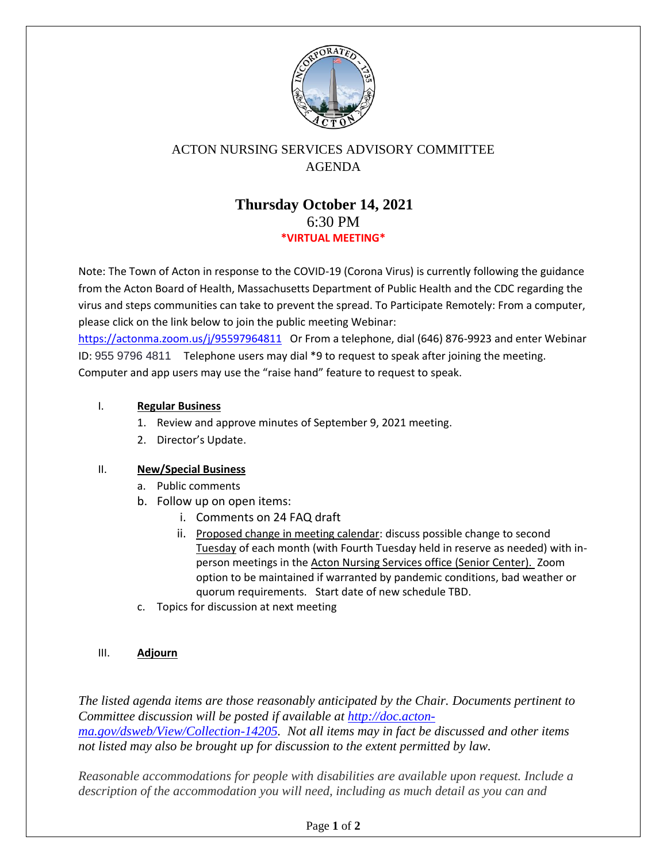

# ACTON NURSING SERVICES ADVISORY COMMITTEE AGENDA

# **Thursday October 14, 2021** 6:30 PM **\*VIRTUAL MEETING\***

Note: The Town of Acton in response to the COVID-19 (Corona Virus) is currently following the guidance from the Acton Board of Health, Massachusetts Department of Public Health and the CDC regarding the virus and steps communities can take to prevent the spread. To Participate Remotely: From a computer, please click on the link below to join the public meeting Webinar:

<https://actonma.zoom.us/j/95597964811>Or From a telephone, dial (646) 876-9923 and enter Webinar ID: 955 9796 4811 Telephone users may dial \*9 to request to speak after joining the meeting. Computer and app users may use the "raise hand" feature to request to speak.

## I. **Regular Business**

- 1. Review and approve minutes of September 9, 2021 meeting.
- 2. Director's Update.

### II. **New/Special Business**

- a. Public comments
- b. Follow up on open items:
	- i. Comments on 24 FAQ draft
	- ii. Proposed change in meeting calendar: discuss possible change to second Tuesday of each month (with Fourth Tuesday held in reserve as needed) with inperson meetings in the Acton Nursing Services office (Senior Center). Zoom option to be maintained if warranted by pandemic conditions, bad weather or quorum requirements. Start date of new schedule TBD.
- c. Topics for discussion at next meeting

### III. **Adjourn**

*The listed agenda items are those reasonably anticipated by the Chair. Documents pertinent to Committee discussion will be posted if available at http://doc.actonma.gov/dsweb/View/Collection-14205. Not all items may in fact be discussed and other items not listed may also be brought up for discussion to the extent permitted by law.*

*Reasonable accommodations for people with disabilities are available upon request. Include a description of the accommodation you will need, including as much detail as you can and*